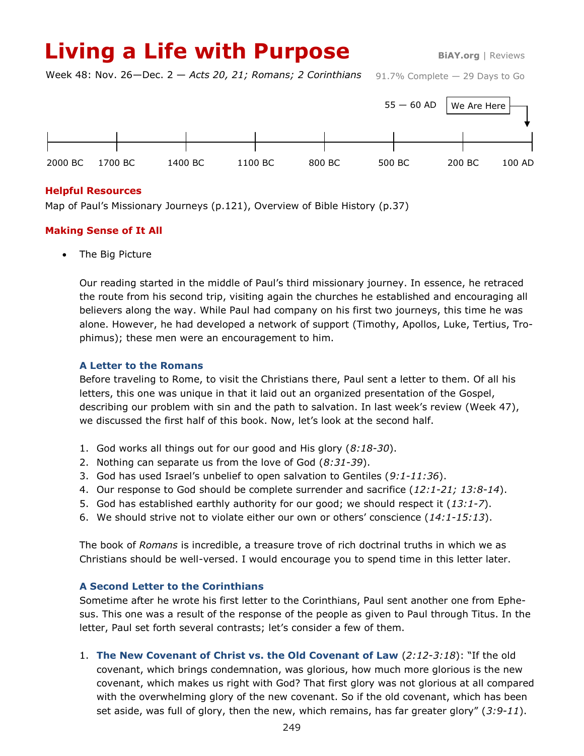# **Living a Life with Purpose** BiAY.org | Reviews

91.7% Complete — 29 Days to Go Week 48: Nov. 26—Dec. 2 — *Acts 20, 21; Romans; 2 Corinthians*



## **Helpful Resources**

Map of Paul's Missionary Journeys (p.121), Overview of Bible History (p.37)

## **Making Sense of It All**

The Big Picture

Our reading started in the middle of Paul's third missionary journey. In essence, he retraced the route from his second trip, visiting again the churches he established and encouraging all believers along the way. While Paul had company on his first two journeys, this time he was alone. However, he had developed a network of support (Timothy, Apollos, Luke, Tertius, Trophimus); these men were an encouragement to him.

#### **A Letter to the Romans**

Before traveling to Rome, to visit the Christians there, Paul sent a letter to them. Of all his letters, this one was unique in that it laid out an organized presentation of the Gospel, describing our problem with sin and the path to salvation. In last week's review (Week 47), we discussed the first half of this book. Now, let's look at the second half.

- 1. God works all things out for our good and His glory (*8:18-30*).
- 2. Nothing can separate us from the love of God (*8:31-39*).
- 3. God has used Israel's unbelief to open salvation to Gentiles (*9:1-11:36*).
- 4. Our response to God should be complete surrender and sacrifice (*12:1-21; 13:8-14*).
- 5. God has established earthly authority for our good; we should respect it (*13:1-7*).
- 6. We should strive not to violate either our own or others' conscience (*14:1-15:13*).

The book of *Romans* is incredible, a treasure trove of rich doctrinal truths in which we as Christians should be well-versed. I would encourage you to spend time in this letter later.

#### **A Second Letter to the Corinthians**

Sometime after he wrote his first letter to the Corinthians, Paul sent another one from Ephesus. This one was a result of the response of the people as given to Paul through Titus. In the letter, Paul set forth several contrasts; let's consider a few of them.

1. **The New Covenant of Christ vs. the Old Covenant of Law** (*2:12-3:18*): "If the old covenant, which brings condemnation, was glorious, how much more glorious is the new covenant, which makes us right with God? That first glory was not glorious at all compared with the overwhelming glory of the new covenant. So if the old covenant, which has been set aside, was full of glory, then the new, which remains, has far greater glory" (*3:9-11*).